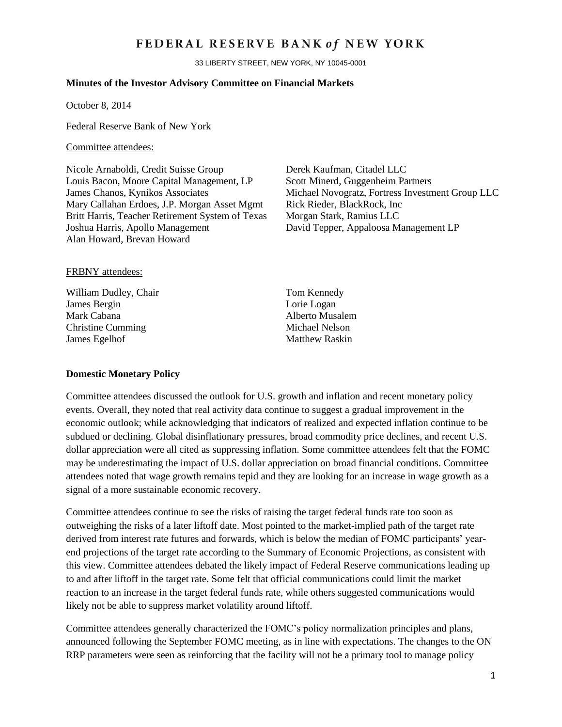# FEDERAL RESERVE BANK of NEW YORK

33 LIBERTY STREET, NEW YORK, NY 10045-0001

#### **Minutes of the Investor Advisory Committee on Financial Markets**

October 8, 2014

Federal Reserve Bank of New York

#### Committee attendees:

Nicole Arnaboldi, Credit Suisse Group Derek Kaufman, Citadel LLC Louis Bacon, Moore Capital Management, LP Scott Minerd, Guggenheim Partners Mary Callahan Erdoes, J.P. Morgan Asset Mgmt Rick Rieder, BlackRock, Inc. Britt Harris, Teacher Retirement System of Texas Morgan Stark, Ramius LLC Joshua Harris, Apollo Management David Tepper, Appaloosa Management LP Alan Howard, Brevan Howard

James Chanos, Kynikos Associates Michael Novogratz, Fortress Investment Group LLC

#### FRBNY attendees:

William Dudley, Chair Tom Kennedy James Bergin Lorie Logan Mark Cabana **Alberto Musalem** Christine Cumming Michael Nelson **James Egelhof** Matthew Raskin

#### **Domestic Monetary Policy**

Committee attendees discussed the outlook for U.S. growth and inflation and recent monetary policy events. Overall, they noted that real activity data continue to suggest a gradual improvement in the economic outlook; while acknowledging that indicators of realized and expected inflation continue to be subdued or declining. Global disinflationary pressures, broad commodity price declines, and recent U.S. dollar appreciation were all cited as suppressing inflation. Some committee attendees felt that the FOMC may be underestimating the impact of U.S. dollar appreciation on broad financial conditions. Committee attendees noted that wage growth remains tepid and they are looking for an increase in wage growth as a signal of a more sustainable economic recovery.

Committee attendees continue to see the risks of raising the target federal funds rate too soon as outweighing the risks of a later liftoff date. Most pointed to the market-implied path of the target rate derived from interest rate futures and forwards, which is below the median of FOMC participants' yearend projections of the target rate according to the Summary of Economic Projections, as consistent with this view. Committee attendees debated the likely impact of Federal Reserve communications leading up to and after liftoff in the target rate. Some felt that official communications could limit the market reaction to an increase in the target federal funds rate, while others suggested communications would likely not be able to suppress market volatility around liftoff.

Committee attendees generally characterized the FOMC's policy normalization principles and plans, announced following the September FOMC meeting, as in line with expectations. The changes to the ON RRP parameters were seen as reinforcing that the facility will not be a primary tool to manage policy